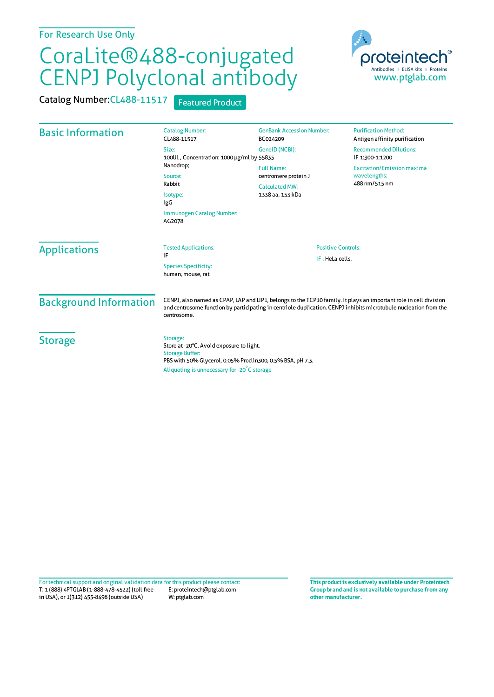## CoraLite®488-conjugated CENPJ Polyclonal antibody

Catalog Number: CL488-11517 Featured Product



| <b>Basic Information</b>      | <b>Catalog Number:</b><br>CL488-11517                                                                                                                                                                                                                 | <b>GenBank Accession Number:</b><br>BC024209                                           | <b>Purification Method:</b><br>Antigen affinity purification       |
|-------------------------------|-------------------------------------------------------------------------------------------------------------------------------------------------------------------------------------------------------------------------------------------------------|----------------------------------------------------------------------------------------|--------------------------------------------------------------------|
|                               | Size:<br>100UL, Concentration: 1000 µg/ml by 55835<br>Nanodrop;<br>Source:<br>Rabbit<br>Isotype:<br>IgG                                                                                                                                               | GeneID (NCBI):                                                                         | <b>Recommended Dilutions:</b><br>IF 1:300-1:1200                   |
|                               |                                                                                                                                                                                                                                                       | <b>Full Name:</b><br>centromere protein J<br><b>Calculated MW:</b><br>1338 aa, 153 kDa | <b>Excitation/Emission maxima</b><br>wavelengths:<br>488 nm/515 nm |
|                               |                                                                                                                                                                                                                                                       |                                                                                        |                                                                    |
|                               | <b>Applications</b>                                                                                                                                                                                                                                   |                                                                                        |                                                                    |
| <b>Background Information</b> | CENPJ, also named as CPAP, LAP and LIP1, belongs to the TCP10 family. It plays an important role in cell division<br>and centrosome function by participating in centriole duplication. CENPJ inhibits microtubule nucleation from the<br>centrosome. |                                                                                        |                                                                    |
| <b>Storage</b>                | Storage:<br>Store at -20°C. Avoid exposure to light.<br><b>Storage Buffer:</b><br>PBS with 50% Glycerol, 0.05% Proclin300, 0.5% BSA, pH 7.3.<br>Aliquoting is unnecessary for -20°C storage                                                           |                                                                                        |                                                                    |

T: 1 (888) 4PTGLAB (1-888-478-4522) (toll free in USA), or 1(312) 455-8498 (outside USA) E: proteintech@ptglab.com W: ptglab.com Fortechnical support and original validation data forthis product please contact: **This productis exclusively available under Proteintech**

**Group brand and is not available to purchase from any other manufacturer.**